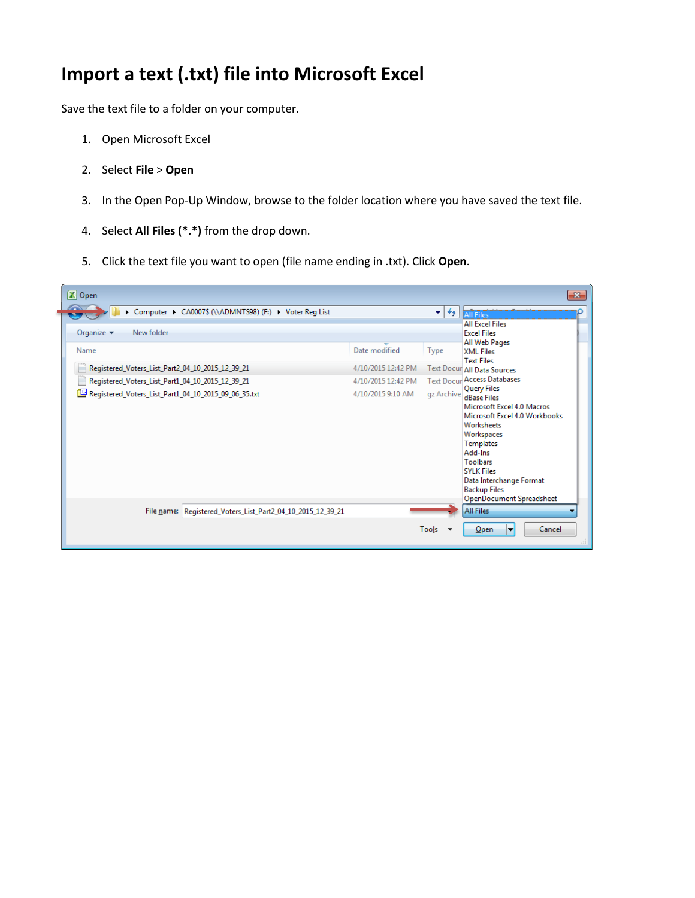## **Import a text (.txt) file into Microsoft Excel**

Save the text file to a folder on your computer.

- 1. Open Microsoft Excel
- 2. Select **File** > **Open**
- 3. In the Open Pop-Up Window, browse to the folder location where you have saved the text file.
- 4. Select **All Files (\*.\*)** from the drop down.
- 5. Click the text file you want to open (file name ending in .txt). Click **Open**.

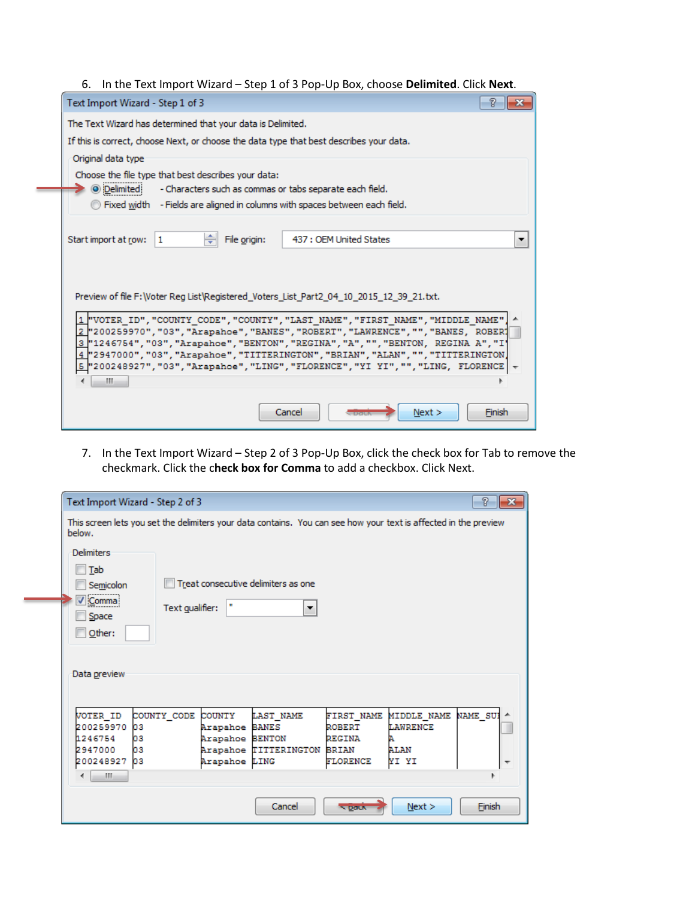|  |  |  | 6. In the Text Import Wizard - Step 1 of 3 Pop-Up Box, choose Delimited. Click Next. |
|--|--|--|--------------------------------------------------------------------------------------|
|--|--|--|--------------------------------------------------------------------------------------|

| V<br>Text Import Wizard - Step 1 of 3                                                                                                                                                                                                                                                                                                                                                                                                                |
|------------------------------------------------------------------------------------------------------------------------------------------------------------------------------------------------------------------------------------------------------------------------------------------------------------------------------------------------------------------------------------------------------------------------------------------------------|
| The Text Wizard has determined that your data is Delimited.                                                                                                                                                                                                                                                                                                                                                                                          |
| If this is correct, choose Next, or choose the data type that best describes your data.                                                                                                                                                                                                                                                                                                                                                              |
| Original data type                                                                                                                                                                                                                                                                                                                                                                                                                                   |
| Choose the file type that best describes your data:<br><b>O</b> Delimited<br>- Characters such as commas or tabs separate each field.                                                                                                                                                                                                                                                                                                                |
| <b>Trived width</b> - Fields are aligned in columns with spaces between each field.                                                                                                                                                                                                                                                                                                                                                                  |
| ÷<br>File origin:<br>Start import at row:<br>437 : OEM United States<br>$\mathbf{1}$                                                                                                                                                                                                                                                                                                                                                                 |
| Preview of file F: Woter Reg List Registered Voters List Part2 04 10 2015 12 39 21.txt.                                                                                                                                                                                                                                                                                                                                                              |
| 1 "VOTER ID", "COUNTY CODE", "COUNTY", "LAST NAME", "FIRST NAME", "MIDDLE NAME"<br>2 "200259970", "03", "Arapahoe", "BANES", "ROBERT", "LAWRENCE", "", "BANES, ROBER?<br>3 "1246754", "03", "Arapahoe", "BENTON", "REGINA", "A", "", "BENTON, REGINA A", "I'<br>4]"2947000","03","Arapahoe","TITTERINGTON","BRIAN","ALAN","","TITTERINGTON<br>$5$ "200248927", "03", "Arapahoe", "LING", "FLORENCE", "YI YI", "", "LING, FLORENCE $\frac{1}{2}$<br>ш |
| Cancel<br>Next ><br>Finish                                                                                                                                                                                                                                                                                                                                                                                                                           |

7. In the Text Import Wizard – Step 2 of 3 Pop-Up Box, click the check box for Tab to remove the checkmark. Click the c**heck box for Comma** to add a checkbox. Click Next.

| P<br>Text Import Wizard - Step 2 of 3<br>11 X                                                                                                                                                                                                                                                                                                                                                 |  |  |  |  |  |  |
|-----------------------------------------------------------------------------------------------------------------------------------------------------------------------------------------------------------------------------------------------------------------------------------------------------------------------------------------------------------------------------------------------|--|--|--|--|--|--|
| This screen lets you set the delimiters your data contains. You can see how your text is affected in the preview<br>below.                                                                                                                                                                                                                                                                    |  |  |  |  |  |  |
| <b>Delimiters</b><br><b>Tab</b><br>Treat consecutive delimiters as one<br>Semicolon<br>√ Comma<br>×<br>Text gualifier:<br>▼<br>Space                                                                                                                                                                                                                                                          |  |  |  |  |  |  |
| $Q$ ther:<br>Data preview                                                                                                                                                                                                                                                                                                                                                                     |  |  |  |  |  |  |
| <b>NAME SUI</b><br>COUNTY CODE<br><b>MIDDLE NAME</b><br>VOTER ID<br>COUNTY<br><b>LAST NAME</b><br><b>FIRST NAME</b><br>200259970<br>Arapahoe BANES<br><b>LAWRENCE</b><br>oз<br><b>ROBERT</b><br>1246754<br>Arapahoe BENTON<br>03<br>REGINA<br>2947000<br>oз<br>Arapahoe TITTERINGTON<br>AT.AN<br><b>BRIAN</b><br>YI YI<br>200248927<br>pз<br>Arapahoe LING<br><b>FLORENCE</b><br>٠<br>m.<br>4 |  |  |  |  |  |  |
| Cancel<br>Finish<br>Next ><br>$S$ Datk                                                                                                                                                                                                                                                                                                                                                        |  |  |  |  |  |  |